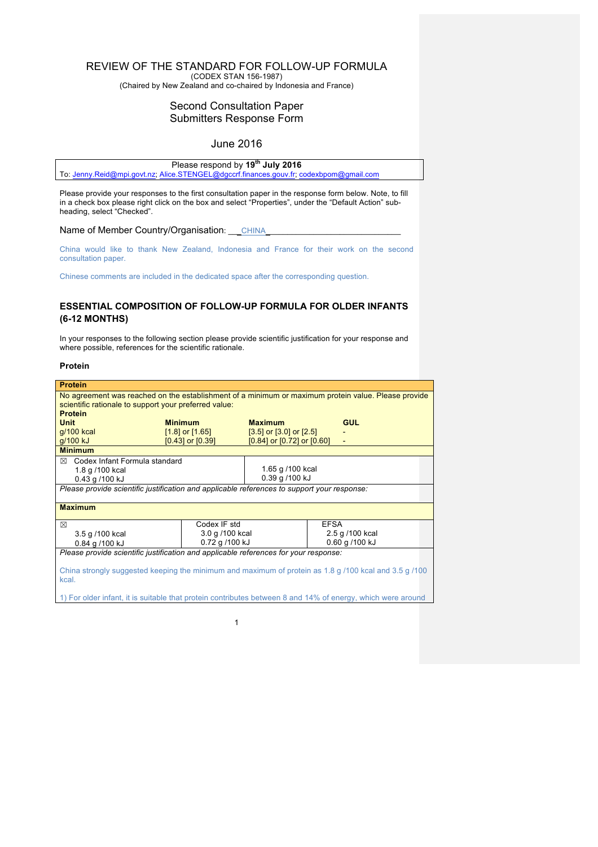# REVIEW OF THE STANDARD FOR FOLLOW-UP FORMULA

(CODEX STAN 156-1987)

(Chaired by New Zealand and co-chaired by Indonesia and France)

# Second Consultation Paper Submitters Response Form

# June 2016

Please respond by **19th July 2016** To: Jenny.Reid@mpi.govt.nz; Alice.STENGEL@de

Please provide your responses to the first consultation paper in the response form below. Note, to fill in a check box please right click on the box and select "Properties", under the "Default Action" subheading, select "Checked".

Name of Member Country/Organisation: CHINA

China would like to thank New Zealand, Indonesia and France for their work on the second consultation paper.

Chinese comments are included in the dedicated space after the corresponding question.

### **ESSENTIAL COMPOSITION OF FOLLOW-UP FORMULA FOR OLDER INFANTS (6-12 MONTHS)**

In your responses to the following section please provide scientific justification for your response and where possible, references for the scientific rationale.

#### **Protein**

| No agreement was reached on the establishment of a minimum or maximum protein value. Please provide<br>scientific rationale to support your preferred value:<br><b>Protein</b><br><b>Maximum</b><br><b>GUL</b><br><b>Unit</b><br><b>Minimum</b><br>$q/100$ kcal<br>$[3.5]$ or $[3.0]$ or $[2.5]$<br>$[1.8]$ or $[1.65]$<br>g/100 kJ<br>$[0.43]$ or $[0.39]$<br>$[0.84]$ or $[0.72]$ or $[0.60]$<br><b>Minimum</b><br>$\boxtimes$ Codex Infant Formula standard<br>1.65 g /100 kcal<br>1.8 g /100 kcal<br>0.39 g /100 kJ<br>0.43 g /100 kJ<br>Please provide scientific justification and applicable references to support your response:<br><b>Maximum</b><br>Codex IF std<br><b>EFSA</b><br>⊠<br>3.0 g /100 kcal<br>2.5 g /100 kcal<br>3.5 g /100 kcal<br>0.72 g /100 kJ<br>0.60 g /100 kJ<br>0.84 g /100 kJ<br>Please provide scientific justification and applicable references for your response:<br>China strongly suggested keeping the minimum and maximum of protein as 1.8 g /100 kcal and 3.5 g /100<br>kcal. | <b>Protein</b> |  |  |  |  |
|-------------------------------------------------------------------------------------------------------------------------------------------------------------------------------------------------------------------------------------------------------------------------------------------------------------------------------------------------------------------------------------------------------------------------------------------------------------------------------------------------------------------------------------------------------------------------------------------------------------------------------------------------------------------------------------------------------------------------------------------------------------------------------------------------------------------------------------------------------------------------------------------------------------------------------------------------------------------------------------------------------------------------|----------------|--|--|--|--|
|                                                                                                                                                                                                                                                                                                                                                                                                                                                                                                                                                                                                                                                                                                                                                                                                                                                                                                                                                                                                                         |                |  |  |  |  |
|                                                                                                                                                                                                                                                                                                                                                                                                                                                                                                                                                                                                                                                                                                                                                                                                                                                                                                                                                                                                                         |                |  |  |  |  |
|                                                                                                                                                                                                                                                                                                                                                                                                                                                                                                                                                                                                                                                                                                                                                                                                                                                                                                                                                                                                                         |                |  |  |  |  |
|                                                                                                                                                                                                                                                                                                                                                                                                                                                                                                                                                                                                                                                                                                                                                                                                                                                                                                                                                                                                                         |                |  |  |  |  |
|                                                                                                                                                                                                                                                                                                                                                                                                                                                                                                                                                                                                                                                                                                                                                                                                                                                                                                                                                                                                                         |                |  |  |  |  |
|                                                                                                                                                                                                                                                                                                                                                                                                                                                                                                                                                                                                                                                                                                                                                                                                                                                                                                                                                                                                                         |                |  |  |  |  |
|                                                                                                                                                                                                                                                                                                                                                                                                                                                                                                                                                                                                                                                                                                                                                                                                                                                                                                                                                                                                                         |                |  |  |  |  |
|                                                                                                                                                                                                                                                                                                                                                                                                                                                                                                                                                                                                                                                                                                                                                                                                                                                                                                                                                                                                                         |                |  |  |  |  |
|                                                                                                                                                                                                                                                                                                                                                                                                                                                                                                                                                                                                                                                                                                                                                                                                                                                                                                                                                                                                                         |                |  |  |  |  |
|                                                                                                                                                                                                                                                                                                                                                                                                                                                                                                                                                                                                                                                                                                                                                                                                                                                                                                                                                                                                                         |                |  |  |  |  |
|                                                                                                                                                                                                                                                                                                                                                                                                                                                                                                                                                                                                                                                                                                                                                                                                                                                                                                                                                                                                                         |                |  |  |  |  |
|                                                                                                                                                                                                                                                                                                                                                                                                                                                                                                                                                                                                                                                                                                                                                                                                                                                                                                                                                                                                                         |                |  |  |  |  |
|                                                                                                                                                                                                                                                                                                                                                                                                                                                                                                                                                                                                                                                                                                                                                                                                                                                                                                                                                                                                                         |                |  |  |  |  |
|                                                                                                                                                                                                                                                                                                                                                                                                                                                                                                                                                                                                                                                                                                                                                                                                                                                                                                                                                                                                                         |                |  |  |  |  |
|                                                                                                                                                                                                                                                                                                                                                                                                                                                                                                                                                                                                                                                                                                                                                                                                                                                                                                                                                                                                                         |                |  |  |  |  |
|                                                                                                                                                                                                                                                                                                                                                                                                                                                                                                                                                                                                                                                                                                                                                                                                                                                                                                                                                                                                                         |                |  |  |  |  |
|                                                                                                                                                                                                                                                                                                                                                                                                                                                                                                                                                                                                                                                                                                                                                                                                                                                                                                                                                                                                                         |                |  |  |  |  |
|                                                                                                                                                                                                                                                                                                                                                                                                                                                                                                                                                                                                                                                                                                                                                                                                                                                                                                                                                                                                                         |                |  |  |  |  |
|                                                                                                                                                                                                                                                                                                                                                                                                                                                                                                                                                                                                                                                                                                                                                                                                                                                                                                                                                                                                                         |                |  |  |  |  |
|                                                                                                                                                                                                                                                                                                                                                                                                                                                                                                                                                                                                                                                                                                                                                                                                                                                                                                                                                                                                                         |                |  |  |  |  |
|                                                                                                                                                                                                                                                                                                                                                                                                                                                                                                                                                                                                                                                                                                                                                                                                                                                                                                                                                                                                                         |                |  |  |  |  |
| 1) For older infant, it is suitable that protein contributes between 8 and 14% of energy, which were around                                                                                                                                                                                                                                                                                                                                                                                                                                                                                                                                                                                                                                                                                                                                                                                                                                                                                                             |                |  |  |  |  |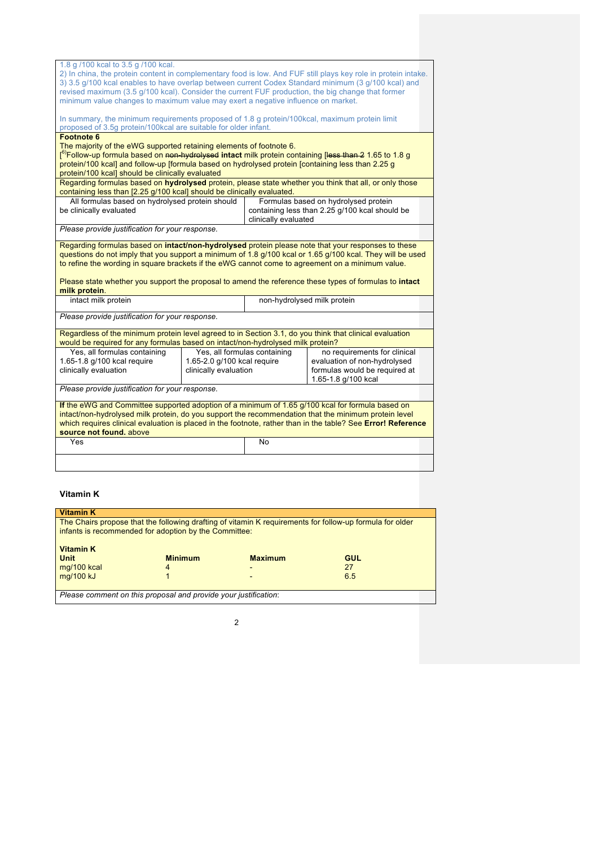| 1.8 g /100 kcal to 3.5 g /100 kcal.                                                                                                                                                                                  |                                                                                             |                      |                                                |  |
|----------------------------------------------------------------------------------------------------------------------------------------------------------------------------------------------------------------------|---------------------------------------------------------------------------------------------|----------------------|------------------------------------------------|--|
| 2) In china, the protein content in complementary food is low. And FUF still plays key role in protein intake.                                                                                                       |                                                                                             |                      |                                                |  |
| 3) 3.5 g/100 kcal enables to have overlap between current Codex Standard minimum (3 g/100 kcal) and                                                                                                                  |                                                                                             |                      |                                                |  |
| revised maximum (3.5 g/100 kcal). Consider the current FUF production, the big change that former                                                                                                                    |                                                                                             |                      |                                                |  |
| minimum value changes to maximum value may exert a negative influence on market.                                                                                                                                     |                                                                                             |                      |                                                |  |
|                                                                                                                                                                                                                      |                                                                                             |                      |                                                |  |
| In summary, the minimum requirements proposed of 1.8 g protein/100kcal, maximum protein limit                                                                                                                        |                                                                                             |                      |                                                |  |
| proposed of 3.5g protein/100kcal are suitable for older infant.                                                                                                                                                      |                                                                                             |                      |                                                |  |
| <b>Footnote 6</b>                                                                                                                                                                                                    |                                                                                             |                      |                                                |  |
| The majority of the eWG supported retaining elements of footnote 6.                                                                                                                                                  |                                                                                             |                      |                                                |  |
| [ <sup>o</sup> /Follow-up formula based on <del>non-hydrolysed</del> intact milk protein containing [ <del>less than 2</del> 1.65 to 1.8 g                                                                           |                                                                                             |                      |                                                |  |
| protein/100 kcal] and follow-up [formula based on hydrolysed protein [containing less than 2.25 g                                                                                                                    |                                                                                             |                      |                                                |  |
| protein/100 kcal] should be clinically evaluated                                                                                                                                                                     |                                                                                             |                      |                                                |  |
| Regarding formulas based on hydrolysed protein, please state whether you think that all, or only those                                                                                                               |                                                                                             |                      |                                                |  |
| containing less than [2.25 g/100 kcal] should be clinically evaluated.                                                                                                                                               |                                                                                             |                      |                                                |  |
| All formulas based on hydrolysed protein should                                                                                                                                                                      |                                                                                             |                      | Formulas based on hydrolysed protein           |  |
| be clinically evaluated                                                                                                                                                                                              |                                                                                             |                      |                                                |  |
|                                                                                                                                                                                                                      |                                                                                             |                      | containing less than 2.25 g/100 kcal should be |  |
|                                                                                                                                                                                                                      |                                                                                             | clinically evaluated |                                                |  |
| Please provide justification for your response.                                                                                                                                                                      |                                                                                             |                      |                                                |  |
| Regarding formulas based on intact/non-hydrolysed protein please note that your responses to these                                                                                                                   |                                                                                             |                      |                                                |  |
| questions do not imply that you support a minimum of 1.8 g/100 kcal or 1.65 g/100 kcal. They will be used                                                                                                            |                                                                                             |                      |                                                |  |
|                                                                                                                                                                                                                      |                                                                                             |                      |                                                |  |
| to refine the wording in square brackets if the eWG cannot come to agreement on a minimum value.                                                                                                                     |                                                                                             |                      |                                                |  |
|                                                                                                                                                                                                                      |                                                                                             |                      |                                                |  |
| Please state whether you support the proposal to amend the reference these types of formulas to intact                                                                                                               |                                                                                             |                      |                                                |  |
| milk protein.                                                                                                                                                                                                        |                                                                                             |                      |                                                |  |
| intact milk protein                                                                                                                                                                                                  | non-hydrolysed milk protein                                                                 |                      |                                                |  |
|                                                                                                                                                                                                                      | Please provide justification for your response.                                             |                      |                                                |  |
|                                                                                                                                                                                                                      |                                                                                             |                      |                                                |  |
| Regardless of the minimum protein level agreed to in Section 3.1, do you think that clinical evaluation                                                                                                              |                                                                                             |                      |                                                |  |
| would be required for any formulas based on intact/non-hydrolysed milk protein?                                                                                                                                      |                                                                                             |                      |                                                |  |
| Yes, all formulas containing                                                                                                                                                                                         |                                                                                             |                      |                                                |  |
| 1.65-1.8 g/100 kcal require                                                                                                                                                                                          | Yes, all formulas containing<br>no requirements for clinical<br>1.65-2.0 g/100 kcal require |                      | evaluation of non-hydrolysed                   |  |
| clinically evaluation                                                                                                                                                                                                | clinically evaluation                                                                       |                      | formulas would be required at                  |  |
|                                                                                                                                                                                                                      |                                                                                             |                      |                                                |  |
|                                                                                                                                                                                                                      |                                                                                             |                      | 1.65-1.8 g/100 kcal                            |  |
| Please provide justification for your response.                                                                                                                                                                      |                                                                                             |                      |                                                |  |
| If the eWG and Committee supported adoption of a minimum of 1.65 g/100 kcal for formula based on                                                                                                                     |                                                                                             |                      |                                                |  |
|                                                                                                                                                                                                                      |                                                                                             |                      |                                                |  |
| intact/non-hydrolysed milk protein, do you support the recommendation that the minimum protein level<br>which requires clinical evaluation is placed in the footnote, rather than in the table? See Error! Reference |                                                                                             |                      |                                                |  |
|                                                                                                                                                                                                                      |                                                                                             |                      |                                                |  |
| source not found. above                                                                                                                                                                                              |                                                                                             |                      |                                                |  |
| Yes                                                                                                                                                                                                                  |                                                                                             | No                   |                                                |  |
|                                                                                                                                                                                                                      |                                                                                             |                      |                                                |  |
|                                                                                                                                                                                                                      |                                                                                             |                      |                                                |  |
|                                                                                                                                                                                                                      |                                                                                             |                      |                                                |  |
|                                                                                                                                                                                                                      |                                                                                             |                      |                                                |  |

# **Vitamin K**

| <b>Vitamin K</b>                                                                                                                                                  |                |                |     |
|-------------------------------------------------------------------------------------------------------------------------------------------------------------------|----------------|----------------|-----|
| The Chairs propose that the following drafting of vitamin K requirements for follow-up formula for older<br>infants is recommended for adoption by the Committee: |                |                |     |
| <b>Vitamin K</b>                                                                                                                                                  |                |                |     |
| <b>Unit</b>                                                                                                                                                       | <b>Minimum</b> | <b>Maximum</b> | GUL |
| mg/100 kcal                                                                                                                                                       | 4              |                | 27  |
| mg/100 kJ                                                                                                                                                         |                |                | 6.5 |
|                                                                                                                                                                   |                |                |     |
| Please comment on this proposal and provide your justification:                                                                                                   |                |                |     |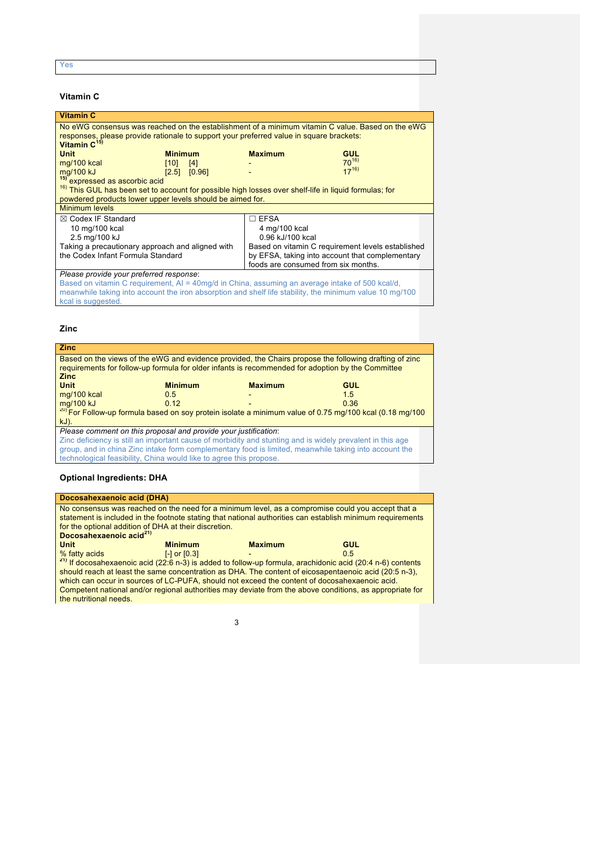| and the contract of the contract of |
|-------------------------------------|
|                                     |
|                                     |
| -<br>__                             |
|                                     |

### **Vitamin C**

| <b>Vitamin C</b>                                                                                                 |                                                                                                       |                                     |            |
|------------------------------------------------------------------------------------------------------------------|-------------------------------------------------------------------------------------------------------|-------------------------------------|------------|
| No eWG consensus was reached on the establishment of a minimum vitamin C value. Based on the eWG                 |                                                                                                       |                                     |            |
| responses, please provide rationale to support your preferred value in square brackets:                          |                                                                                                       |                                     |            |
| Vitamin C <sup>15)</sup>                                                                                         |                                                                                                       |                                     |            |
| <b>Unit</b>                                                                                                      | <b>Minimum</b>                                                                                        | <b>Maximum</b>                      | <b>GUL</b> |
| mg/100 kcal                                                                                                      | [10]<br>[4]                                                                                           |                                     | $70^{16}$  |
| mg/100 kJ                                                                                                        | $[2.5]$ $[0.96]$                                                                                      |                                     | $17^{16}$  |
| <sup>15)</sup> expressed as ascorbic acid                                                                        |                                                                                                       |                                     |            |
| <sup>16)</sup> This GUL has been set to account for possible high losses over shelf-life in liquid formulas; for |                                                                                                       |                                     |            |
| powdered products lower upper levels should be aimed for.                                                        |                                                                                                       |                                     |            |
| Minimum levels                                                                                                   |                                                                                                       |                                     |            |
| $\boxtimes$ Codex IF Standard                                                                                    |                                                                                                       | $\sqcap$ EFSA                       |            |
| 10 mg/100 kcal                                                                                                   |                                                                                                       | 4 mg/100 kcal                       |            |
| 2.5 mg/100 kJ                                                                                                    |                                                                                                       | 0.96 kJ/100 kcal                    |            |
|                                                                                                                  | Taking a precautionary approach and aligned with<br>Based on vitamin C requirement levels established |                                     |            |
| the Codex Infant Formula Standard<br>by EFSA, taking into account that complementary                             |                                                                                                       |                                     |            |
|                                                                                                                  |                                                                                                       | foods are consumed from six months. |            |
| Please provide your preferred response:                                                                          |                                                                                                       |                                     |            |
| Based on vitamin C requirement, AI = 40mg/d in China, assuming an average intake of 500 kcal/d,                  |                                                                                                       |                                     |            |
| meanwhile taking into account the iron absorption and shelf life stability, the minimum value 10 mg/100          |                                                                                                       |                                     |            |
| kcal is suggested.                                                                                               |                                                                                                       |                                     |            |

### **Zinc**

| <b>Zinc</b>                                                                                                                                                                                                                                                                              |                                                                                                                                                                                                             |                |            |  |
|------------------------------------------------------------------------------------------------------------------------------------------------------------------------------------------------------------------------------------------------------------------------------------------|-------------------------------------------------------------------------------------------------------------------------------------------------------------------------------------------------------------|----------------|------------|--|
| <b>Zinc</b>                                                                                                                                                                                                                                                                              | Based on the views of the eWG and evidence provided, the Chairs propose the following drafting of zinc<br>requirements for follow-up formula for older infants is recommended for adoption by the Committee |                |            |  |
| <b>Unit</b>                                                                                                                                                                                                                                                                              | <b>Minimum</b>                                                                                                                                                                                              | <b>Maximum</b> | <b>GUL</b> |  |
| mg/100 kcal                                                                                                                                                                                                                                                                              | 0.5                                                                                                                                                                                                         |                | 1.5        |  |
| mg/100 kJ                                                                                                                                                                                                                                                                                | 0,12                                                                                                                                                                                                        |                | 0.36       |  |
| <sup>20)</sup> For Follow-up formula based on soy protein isolate a minimum value of 0.75 mg/100 kcal (0.18 mg/100                                                                                                                                                                       |                                                                                                                                                                                                             |                |            |  |
| $kJ$ ).                                                                                                                                                                                                                                                                                  |                                                                                                                                                                                                             |                |            |  |
| Please comment on this proposal and provide your justification:                                                                                                                                                                                                                          |                                                                                                                                                                                                             |                |            |  |
| Zinc deficiency is still an important cause of morbidity and stunting and is widely prevalent in this age<br>group, and in china Zinc intake form complementary food is limited, meanwhile taking into account the<br>technological feasibility. China would like to agree this propose. |                                                                                                                                                                                                             |                |            |  |

### **Optional Ingredients: DHA**

| Docosahexaenoic acid (DHA)          |                                                       |                |                                                                                                                        |  |
|-------------------------------------|-------------------------------------------------------|----------------|------------------------------------------------------------------------------------------------------------------------|--|
|                                     |                                                       |                | No consensus was reached on the need for a minimum level, as a compromise could you accept that a                      |  |
|                                     |                                                       |                | statement is included in the footnote stating that national authorities can establish minimum requirements             |  |
|                                     | for the optional addition of DHA at their discretion. |                |                                                                                                                        |  |
| Docosahexaenoic acid <sup>21)</sup> |                                                       |                |                                                                                                                        |  |
| <b>Unit</b>                         | <b>Minimum</b>                                        | <b>Maximum</b> | GUL                                                                                                                    |  |
| % fatty acids                       | $[-]$ or $[0.3]$                                      |                | 0.5                                                                                                                    |  |
|                                     |                                                       |                | <sup>21</sup> ) If docosahexaenoic acid (22:6 n-3) is added to follow-up formula, arachidonic acid (20:4 n-6) contents |  |
|                                     |                                                       |                | should reach at least the same concentration as DHA. The content of eicosapentaenoic acid (20:5 n-3).                  |  |
|                                     |                                                       |                | which can occur in sources of LC-PUFA, should not exceed the content of docosahexaenoic acid.                          |  |
|                                     |                                                       |                | Competent national and/or regional authorities may deviate from the above conditions, as appropriate for               |  |
| the nutritional needs.              |                                                       |                |                                                                                                                        |  |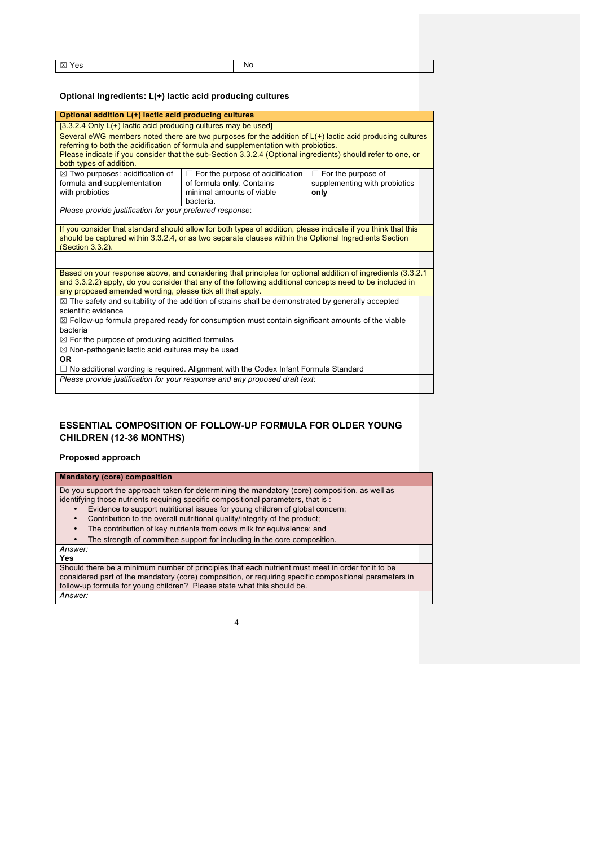| $\boxtimes$ Yes | No |
|-----------------|----|
|-----------------|----|

### **Optional Ingredients: L(+) lactic acid producing cultures**

| Optional addition L(+) lactic acid producing cultures                                                                                                                                                                                                                                                                                     |                                                                                                                |                                                                    |  |
|-------------------------------------------------------------------------------------------------------------------------------------------------------------------------------------------------------------------------------------------------------------------------------------------------------------------------------------------|----------------------------------------------------------------------------------------------------------------|--------------------------------------------------------------------|--|
| $[3.3.2.4$ Only $L(+)$ lactic acid producing cultures may be used]                                                                                                                                                                                                                                                                        |                                                                                                                |                                                                    |  |
| Several eWG members noted there are two purposes for the addition of L(+) lactic acid producing cultures<br>referring to both the acidification of formula and supplementation with probiotics.<br>Please indicate if you consider that the sub-Section 3.3.2.4 (Optional ingredients) should refer to one, or<br>both types of addition. |                                                                                                                |                                                                    |  |
| $\boxtimes$ Two purposes: acidification of<br>formula and supplementation<br>with probiotics                                                                                                                                                                                                                                              | $\Box$ For the purpose of acidification<br>of formula only. Contains<br>minimal amounts of viable<br>bacteria. | $\Box$ For the purpose of<br>supplementing with probiotics<br>only |  |
| Please provide justification for your preferred response:                                                                                                                                                                                                                                                                                 |                                                                                                                |                                                                    |  |
| If you consider that standard should allow for both types of addition, please indicate if you think that this<br>should be captured within 3.3.2.4, or as two separate clauses within the Optional Ingredients Section<br>(Section 3.3.2).                                                                                                |                                                                                                                |                                                                    |  |
|                                                                                                                                                                                                                                                                                                                                           |                                                                                                                |                                                                    |  |
| Based on your response above, and considering that principles for optional addition of ingredients (3.3.2.1<br>and 3.3.2.2) apply, do you consider that any of the following additional concepts need to be included in<br>any proposed amended wording, please tick all that apply.                                                      |                                                                                                                |                                                                    |  |
| $\boxtimes$ The safety and suitability of the addition of strains shall be demonstrated by generally accepted<br>scientific evidence                                                                                                                                                                                                      |                                                                                                                |                                                                    |  |
| $\boxtimes$ Follow-up formula prepared ready for consumption must contain significant amounts of the viable<br>bacteria                                                                                                                                                                                                                   |                                                                                                                |                                                                    |  |
| $\boxtimes$ For the purpose of producing acidified formulas                                                                                                                                                                                                                                                                               |                                                                                                                |                                                                    |  |
| $\boxtimes$ Non-pathogenic lactic acid cultures may be used                                                                                                                                                                                                                                                                               |                                                                                                                |                                                                    |  |
| <b>OR</b>                                                                                                                                                                                                                                                                                                                                 |                                                                                                                |                                                                    |  |
|                                                                                                                                                                                                                                                                                                                                           | $\Box$ No additional wording is required. Alignment with the Codex Infant Formula Standard                     |                                                                    |  |
| Please provide justification for your response and any proposed draft text:                                                                                                                                                                                                                                                               |                                                                                                                |                                                                    |  |

# **ESSENTIAL COMPOSITION OF FOLLOW-UP FORMULA FOR OLDER YOUNG CHILDREN (12-36 MONTHS)**

### **Proposed approach**

### **Mandatory (core) composition**

Do you support the approach taken for determining the mandatory (core) composition, as well as identifying those nutrients requiring specific compositional parameters, that is :

- Evidence to support nutritional issues for young children of global concern;
- Contribution to the overall nutritional quality/integrity of the product;
- The contribution of key nutrients from cows milk for equivalence; and
- The strength of committee support for including in the core composition.

#### *Answer:* **Yes**

Should there be a minimum number of principles that each nutrient must meet in order for it to be considered part of the mandatory (core) composition, or requiring specific compositional parameters in follow-up formula for young children? Please state what this should be. *Answer:*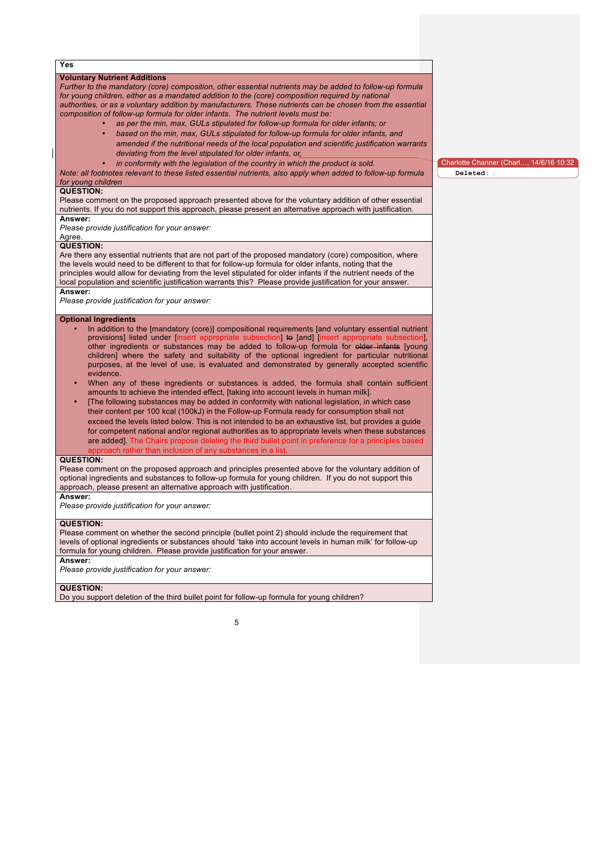**Yes**

#### **Voluntary Nutrient Additions** *Further to the mandatory (core) composition, other essential nutrients may be added to follow-up formula*  for young children, either as a mandated addition to the (core) composition required by national *authorities, or as a voluntary addition by manufacturers. These nutrients can be chosen from the essential composition of follow-up formula for older infants. The nutrient levels must be:* • *as per the min, max, GULs stipulated for follow-up formula for older infants; or* • *based on the min, max, GULs stipulated for follow-up formula for older infants, and amended if the nutritional needs of the local population and scientific justification warrants deviating from the level stipulated for older infants, or* in conformity with the legislation of the country in which the product is sold. *Note: all footnotes relevant to these listed essential nutrients, also apply when added to follow-up formula for young children* **QUESTION:** Please comment on the proposed approach presented above for the voluntary addition of other essential nutrients. If you do not support this approach, please present an alternative approach with justification. **Answer:** *Please provide justification for your answer:* Agree. **QUESTION:** Are there any essential nutrients that are not part of the proposed mandatory (core) composition, where the levels would need to be different to that for follow-up formula for older infants, noting that the principles would allow for deviating from the level stipulated for older infants if the nutrient needs of the local population and scientific justification warrants this? Please provide justification for your answer. **Answer:** *Please provide justification for your answer:* **Optional Ingredients** In addition to the [mandatory (core)] compositional requirements [and voluntary essential nutrient provisions] listed under [insert appropriate subsection], provisions] listed under [in other ingredients or substances may be added to follow-up formula for older infants [young children] where the safety and suitability of the optional ingredient for particular nutritional purposes, at the level of use, is evaluated and demonstrated by generally accepted scientific evidence. • When any of these ingredients or substances is added, the formula shall contain sufficient amounts to achieve the intended effect, [taking into account levels in human milk]. • [The following substances may be added in conformity with national legislation, in which case their content per 100 kcal (100kJ) in the Follow-up Formula ready for consumption shall not exceed the levels listed below. This is not intended to be an exhaustive list, but provides a guide for competent national and/or regional authorities as to appropriate levels when these substances are added]. The Chairs propose deleting the third bullet point in preference for a principles base approach rather than inclusion of any substances in a list. **QUESTION:** Please comment on the proposed approach and principles presented above for the voluntary addition of optional ingredients and substances to follow-up formula for young children. If you do not support this approach, please present an alternative approach with justification. **Answer:** *Please provide justification for your answer:*

#### **QUESTION:**

Please comment on whether the second principle (bullet point 2) should include the requirement that levels of optional ingredients or substances should 'take into account levels in human milk' for follow-up formula for young children. Please provide justification for your answer. **Answer:**

*Please provide justification for your answer:*

#### **QUESTION:**

Do you support deletion of the third bullet point for follow-up formula for young children?

5

Charlotte Channer (Charl…, 14/6/16 10:32 **Deleted:** *.*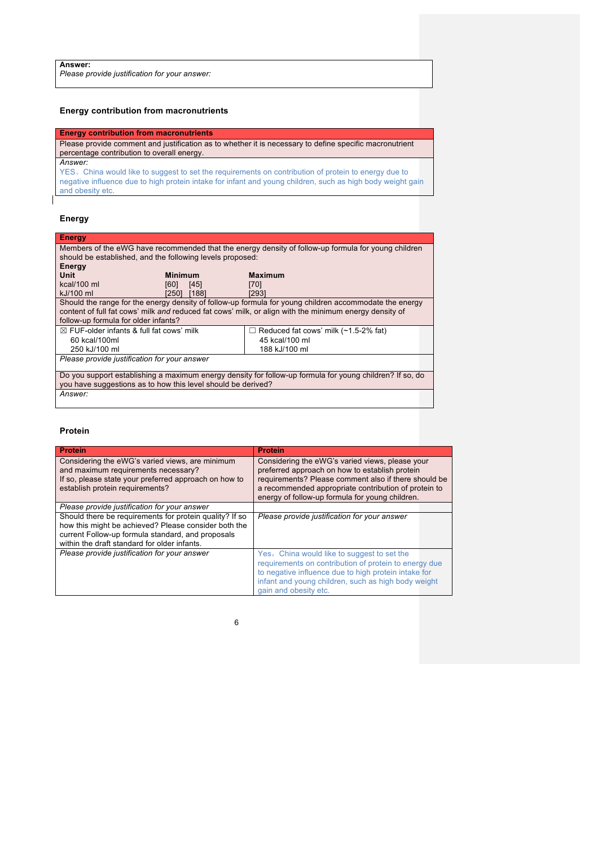*Please provide justification for your answer:*

### **Energy contribution from macronutrients**

## **Energy contribution from macronutrients**

Please provide comment and justification as to whether it is necessary to define specific macronutrient percentage contribution to overall energy.

*Answer:*

YES。China would like to suggest to set the requirements on contribution of protein to energy due to negative influence due to high protein intake for infant and young children, such as high body weight gain and obesity etc.

### **Energy**

| <b>Energy</b>                                                                                            |                |                                                                                                        |  |
|----------------------------------------------------------------------------------------------------------|----------------|--------------------------------------------------------------------------------------------------------|--|
|                                                                                                          |                | Members of the eWG have recommended that the energy density of follow-up formula for young children    |  |
| should be established, and the following levels proposed:                                                |                |                                                                                                        |  |
| Energy                                                                                                   |                |                                                                                                        |  |
| <b>Unit</b>                                                                                              | <b>Minimum</b> | <b>Maximum</b>                                                                                         |  |
| kcal/100 ml                                                                                              | [60]<br>[45]   | [70]                                                                                                   |  |
| kJ/100 ml                                                                                                | [188]<br>[250] | [293]                                                                                                  |  |
|                                                                                                          |                | Should the range for the energy density of follow-up formula for young children accommodate the energy |  |
|                                                                                                          |                | content of full fat cows' milk and reduced fat cows' milk, or align with the minimum energy density of |  |
| follow-up formula for older infants?                                                                     |                |                                                                                                        |  |
| $\boxtimes$ FUF-older infants & full fat cows' milk                                                      |                | $\Box$ Reduced fat cows' milk (~1.5-2% fat)                                                            |  |
| 60 kcal/100ml                                                                                            |                | 45 kcal/100 ml                                                                                         |  |
| 250 kJ/100 ml                                                                                            |                | 188 kJ/100 ml                                                                                          |  |
| Please provide justification for your answer                                                             |                |                                                                                                        |  |
|                                                                                                          |                |                                                                                                        |  |
| Do you support establishing a maximum energy density for follow-up formula for young children? If so, do |                |                                                                                                        |  |
| you have suggestions as to how this level should be derived?                                             |                |                                                                                                        |  |
| Answer:                                                                                                  |                |                                                                                                        |  |
|                                                                                                          |                |                                                                                                        |  |

### **Protein**

| <b>Protein</b>                                                                                                                                                                                                       | <b>Protein</b>                                                                                                                                                                                                                                                       |
|----------------------------------------------------------------------------------------------------------------------------------------------------------------------------------------------------------------------|----------------------------------------------------------------------------------------------------------------------------------------------------------------------------------------------------------------------------------------------------------------------|
| Considering the eWG's varied views, are minimum<br>and maximum requirements necessary?<br>If so, please state your preferred approach on how to<br>establish protein requirements?                                   | Considering the eWG's varied views, please your<br>preferred approach on how to establish protein<br>requirements? Please comment also if there should be<br>a recommended appropriate contribution of protein to<br>energy of follow-up formula for young children. |
| Please provide justification for your answer                                                                                                                                                                         |                                                                                                                                                                                                                                                                      |
| Should there be requirements for protein quality? If so<br>how this might be achieved? Please consider both the<br>current Follow-up formula standard, and proposals<br>within the draft standard for older infants. | Please provide justification for your answer                                                                                                                                                                                                                         |
| Please provide justification for your answer                                                                                                                                                                         | Yes, China would like to suggest to set the<br>requirements on contribution of protein to energy due<br>to negative influence due to high protein intake for<br>infant and young children, such as high body weight<br>gain and obesity etc.                         |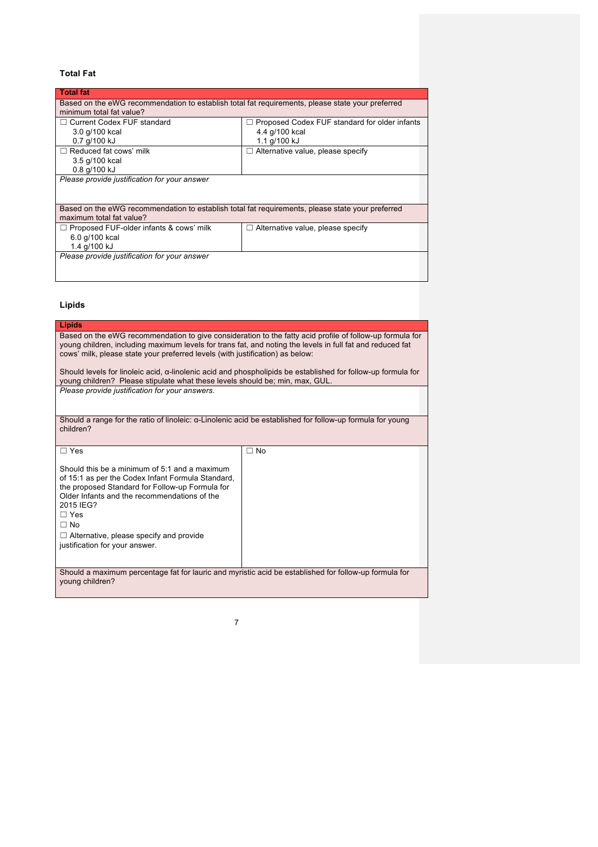# **Total Fat**

| <b>Total fat</b>                                                                                 |                                               |
|--------------------------------------------------------------------------------------------------|-----------------------------------------------|
| Based on the eWG recommendation to establish total fat requirements, please state your preferred |                                               |
| minimum total fat value?                                                                         |                                               |
| $\Box$ Current Codex FUF standard                                                                | Proposed Codex FUF standard for older infants |
| 3.0 g/100 kcal                                                                                   | 4.4 g/100 kcal                                |
| 0.7 g/100 kJ                                                                                     | 1.1 g/100 kJ                                  |
| $\Box$ Reduced fat cows' milk                                                                    | $\Box$ Alternative value, please specify      |
| 3.5 g/100 kcal                                                                                   |                                               |
| 0.8 g/100 kJ                                                                                     |                                               |
| Please provide justification for your answer                                                     |                                               |
|                                                                                                  |                                               |
|                                                                                                  |                                               |
| Based on the eWG recommendation to establish total fat requirements, please state your preferred |                                               |
| maximum total fat value?                                                                         |                                               |
| $\Box$ Proposed FUF-older infants & cows' milk                                                   | $\Box$ Alternative value, please specify      |
| 6.0 g/100 kcal                                                                                   |                                               |
| 1.4 g/100 kJ                                                                                     |                                               |
| Please provide justification for your answer                                                     |                                               |
|                                                                                                  |                                               |
|                                                                                                  |                                               |

# **Lipids**

| Lipids                                                                                                                                                                                                                                                                                                                                                                                                                         |           |  |
|--------------------------------------------------------------------------------------------------------------------------------------------------------------------------------------------------------------------------------------------------------------------------------------------------------------------------------------------------------------------------------------------------------------------------------|-----------|--|
| Based on the eWG recommendation to give consideration to the fatty acid profile of follow-up formula for<br>young children, including maximum levels for trans fat, and noting the levels in full fat and reduced fat<br>cows' milk, please state your preferred levels (with justification) as below:<br>Should levels for linoleic acid, $\alpha$ -linolenic acid and phospholipids be established for follow-up formula for |           |  |
| young children? Please stipulate what these levels should be; min, max, GUL.                                                                                                                                                                                                                                                                                                                                                   |           |  |
| Please provide justification for your answers.                                                                                                                                                                                                                                                                                                                                                                                 |           |  |
| Should a range for the ratio of linoleic: $\alpha$ -Linolenic acid be established for follow-up formula for young<br>children?                                                                                                                                                                                                                                                                                                 |           |  |
| $\Box$ Yes                                                                                                                                                                                                                                                                                                                                                                                                                     | $\Box$ No |  |
| Should this be a minimum of 5:1 and a maximum<br>of 15:1 as per the Codex Infant Formula Standard,<br>the proposed Standard for Follow-up Formula for<br>Older Infants and the recommendations of the<br>2015 IEG?<br>$\Box$ Yes<br>$\Box$ No<br>$\Box$ Alternative, please specify and provide<br>justification for your answer.                                                                                              |           |  |
|                                                                                                                                                                                                                                                                                                                                                                                                                                |           |  |
| Should a maximum percentage fat for lauric and myristic acid be established for follow-up formula for<br>young children?                                                                                                                                                                                                                                                                                                       |           |  |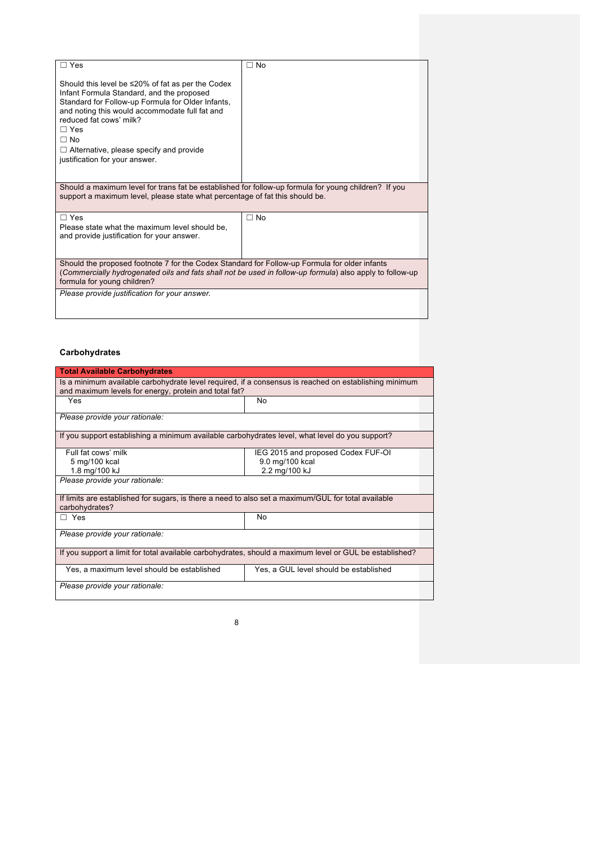| $\Box$ Yes                                                                                                                                                                                                                                                                                                                                      | ∩ No |
|-------------------------------------------------------------------------------------------------------------------------------------------------------------------------------------------------------------------------------------------------------------------------------------------------------------------------------------------------|------|
| Should this level be ≤20% of fat as per the Codex<br>Infant Formula Standard, and the proposed<br>Standard for Follow-up Formula for Older Infants,<br>and noting this would accommodate full fat and<br>reduced fat cows' milk?<br>$\Box$ Yes<br>$\Box$ No<br>$\Box$ Alternative, please specify and provide<br>justification for your answer. |      |
| Should a maximum level for trans fat be established for follow-up formula for young children? If you<br>support a maximum level, please state what percentage of fat this should be.                                                                                                                                                            |      |
| $\Box$ Yes<br>Please state what the maximum level should be.<br>and provide justification for your answer.                                                                                                                                                                                                                                      | ∩ No |
| Should the proposed footnote 7 for the Codex Standard for Follow-up Formula for older infants<br>(Commercially hydrogenated oils and fats shall not be used in follow-up formula) also apply to follow-up<br>formula for young children?                                                                                                        |      |
| Please provide justification for your answer.                                                                                                                                                                                                                                                                                                   |      |

# **Carbohydrates**

| <b>Total Available Carbohydrates</b>                                                                                                                           |                                        |  |
|----------------------------------------------------------------------------------------------------------------------------------------------------------------|----------------------------------------|--|
| Is a minimum available carbohydrate level required, if a consensus is reached on establishing minimum<br>and maximum levels for energy, protein and total fat? |                                        |  |
| Yes                                                                                                                                                            | No                                     |  |
| Please provide your rationale:                                                                                                                                 |                                        |  |
| If you support establishing a minimum available carbohydrates level, what level do you support?                                                                |                                        |  |
| Full fat cows' milk                                                                                                                                            | IEG 2015 and proposed Codex FUF-OI     |  |
| 5 mg/100 kcal                                                                                                                                                  | 9.0 mg/100 kcal                        |  |
| 1.8 mg/100 kJ                                                                                                                                                  | 2.2 mg/100 kJ                          |  |
| Please provide your rationale:                                                                                                                                 |                                        |  |
| If limits are established for sugars, is there a need to also set a maximum/GUL for total available<br>carbohydrates?                                          |                                        |  |
| $\Box$ Yes                                                                                                                                                     | No                                     |  |
| Please provide your rationale:                                                                                                                                 |                                        |  |
| If you support a limit for total available carbohydrates, should a maximum level or GUL be established?                                                        |                                        |  |
| Yes, a maximum level should be established                                                                                                                     | Yes, a GUL level should be established |  |
| Please provide your rationale:                                                                                                                                 |                                        |  |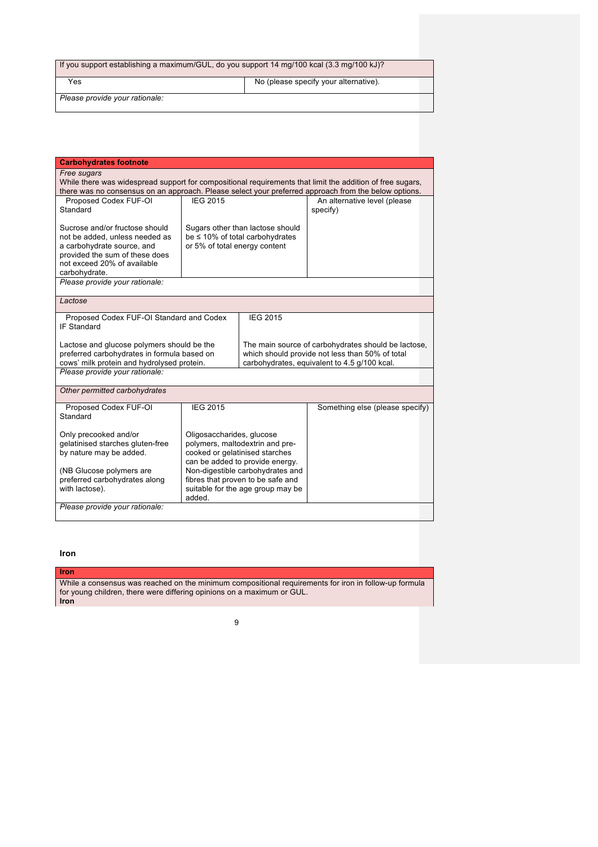|  | If you support establishing a maximum/GUL, do you support 14 mg/100 kcal (3.3 mg/100 kJ)? |  |  |  |  |  |
|--|-------------------------------------------------------------------------------------------|--|--|--|--|--|
|--|-------------------------------------------------------------------------------------------|--|--|--|--|--|

Yes No (please specify your alternative).

*Please provide your rationale:*

| <b>Carbohydrates footnote</b>                                                                                                                                                                                                    |                                                                                                                                   |  |                                                                                                                                                        |  |
|----------------------------------------------------------------------------------------------------------------------------------------------------------------------------------------------------------------------------------|-----------------------------------------------------------------------------------------------------------------------------------|--|--------------------------------------------------------------------------------------------------------------------------------------------------------|--|
| Free sugars<br>While there was widespread support for compositional requirements that limit the addition of free sugars,<br>there was no consensus on an approach. Please select your preferred approach from the below options. |                                                                                                                                   |  |                                                                                                                                                        |  |
| Proposed Codex FUF-OI<br>Standard                                                                                                                                                                                                | <b>IEG 2015</b>                                                                                                                   |  | An alternative level (please<br>specify)                                                                                                               |  |
| Sucrose and/or fructose should<br>not be added, unless needed as<br>a carbohydrate source, and<br>provided the sum of these does<br>not exceed 20% of available<br>carbohydrate.                                                 | Sugars other than lactose should<br>be $\leq$ 10% of total carbohydrates<br>or 5% of total energy content                         |  |                                                                                                                                                        |  |
| Please provide your rationale:                                                                                                                                                                                                   |                                                                                                                                   |  |                                                                                                                                                        |  |
| Lactose                                                                                                                                                                                                                          |                                                                                                                                   |  |                                                                                                                                                        |  |
| Proposed Codex FUF-OI Standard and Codex<br><b>IEG 2015</b><br><b>IF Standard</b>                                                                                                                                                |                                                                                                                                   |  |                                                                                                                                                        |  |
| Lactose and glucose polymers should be the<br>preferred carbohydrates in formula based on<br>cows' milk protein and hydrolysed protein.                                                                                          |                                                                                                                                   |  | The main source of carbohydrates should be lactose,<br>which should provide not less than 50% of total<br>carbohydrates, equivalent to 4.5 g/100 kcal. |  |
| Please provide your rationale:                                                                                                                                                                                                   |                                                                                                                                   |  |                                                                                                                                                        |  |
| Other permitted carbohydrates                                                                                                                                                                                                    |                                                                                                                                   |  |                                                                                                                                                        |  |
| Proposed Codex FUF-OI<br>Standard                                                                                                                                                                                                | <b>IEG 2015</b>                                                                                                                   |  | Something else (please specify)                                                                                                                        |  |
| Only precooked and/or<br>gelatinised starches gluten-free<br>by nature may be added.                                                                                                                                             | Oligosaccharides, glucose<br>polymers, maltodextrin and pre-<br>cooked or gelatinised starches<br>can be added to provide energy. |  |                                                                                                                                                        |  |
| (NB Glucose polymers are<br>preferred carbohydrates along<br>with lactose).                                                                                                                                                      | Non-digestible carbohydrates and<br>fibres that proven to be safe and<br>suitable for the age group may be<br>added.              |  |                                                                                                                                                        |  |
| Please provide your rationale:                                                                                                                                                                                                   |                                                                                                                                   |  |                                                                                                                                                        |  |

#### **Iron**

**Iron**

While a consensus was reached on the minimum compositional requirements for iron in follow-up formula for young children, there were differing opinions on a maximum or GUL. **Iron**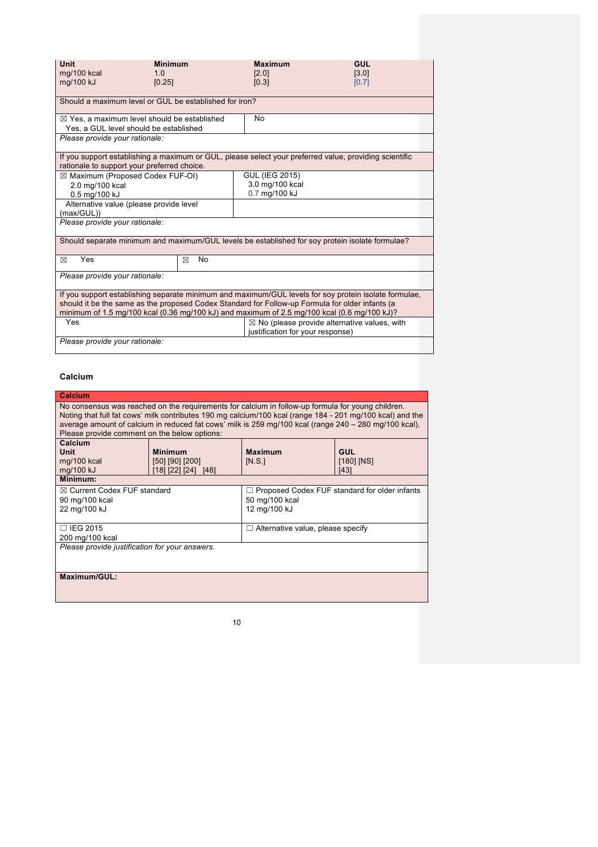| <b>Unit</b>                    | <b>Minimum</b>                                                                                                                                                                                 | <b>Maximum</b>                   | <b>GUL</b>                                                                                            |
|--------------------------------|------------------------------------------------------------------------------------------------------------------------------------------------------------------------------------------------|----------------------------------|-------------------------------------------------------------------------------------------------------|
| mg/100 kcal                    | 1 <sub>0</sub>                                                                                                                                                                                 | [2.0]                            | [3.0]                                                                                                 |
| mg/100 kJ                      | [0.25]                                                                                                                                                                                         | [0.3]                            | [0.7]                                                                                                 |
|                                |                                                                                                                                                                                                |                                  |                                                                                                       |
|                                | Should a maximum level or GUL be established for iron?                                                                                                                                         |                                  |                                                                                                       |
|                                | $\boxtimes$ Yes, a maximum level should be established                                                                                                                                         | No                               |                                                                                                       |
|                                | Yes, a GUL level should be established                                                                                                                                                         |                                  |                                                                                                       |
| Please provide your rationale: |                                                                                                                                                                                                |                                  |                                                                                                       |
|                                |                                                                                                                                                                                                |                                  |                                                                                                       |
|                                | If you support establishing a maximum or GUL, please select your preferred value, providing scientific                                                                                         |                                  |                                                                                                       |
|                                | rationale to support your preferred choice.                                                                                                                                                    |                                  |                                                                                                       |
|                                | ⊠ Maximum (Proposed Codex FUF-OI)                                                                                                                                                              | <b>GUL (IEG 2015)</b>            |                                                                                                       |
| 2.0 mg/100 kcal                |                                                                                                                                                                                                | 3.0 mg/100 kcal                  |                                                                                                       |
| 0.5 mg/100 kJ                  |                                                                                                                                                                                                | 0.7 mg/100 kJ                    |                                                                                                       |
|                                | Alternative value (please provide level                                                                                                                                                        |                                  |                                                                                                       |
| (max/GUL))                     |                                                                                                                                                                                                |                                  |                                                                                                       |
| Please provide your rationale: |                                                                                                                                                                                                |                                  |                                                                                                       |
|                                |                                                                                                                                                                                                |                                  |                                                                                                       |
|                                | Should separate minimum and maximum/GUL levels be established for soy protein isolate formulae?                                                                                                |                                  |                                                                                                       |
|                                |                                                                                                                                                                                                |                                  |                                                                                                       |
| Yes<br>⊠                       | <b>No</b><br>⊠                                                                                                                                                                                 |                                  |                                                                                                       |
|                                |                                                                                                                                                                                                |                                  |                                                                                                       |
| Please provide your rationale: |                                                                                                                                                                                                |                                  |                                                                                                       |
|                                |                                                                                                                                                                                                |                                  |                                                                                                       |
|                                |                                                                                                                                                                                                |                                  | If you support establishing separate minimum and maximum/GUL levels for soy protein isolate formulae, |
|                                | should it be the same as the proposed Codex Standard for Follow-up Formula for older infants (a<br>minimum of 1.5 mg/100 kcal (0.36 mg/100 kJ) and maximum of 2.5 mg/100 kcal (0.6 mg/100 kJ)? |                                  |                                                                                                       |
| Yes                            |                                                                                                                                                                                                |                                  | $\boxtimes$ No (please provide alternative values, with                                               |
|                                |                                                                                                                                                                                                | justification for your response) |                                                                                                       |
| Please provide your rationale: |                                                                                                                                                                                                |                                  |                                                                                                       |
|                                |                                                                                                                                                                                                |                                  |                                                                                                       |

# **Calcium**

| Calcium                                                                                                                                                                                                                                                                                                                                                                 |                                                          |                                                                                   |                                      |
|-------------------------------------------------------------------------------------------------------------------------------------------------------------------------------------------------------------------------------------------------------------------------------------------------------------------------------------------------------------------------|----------------------------------------------------------|-----------------------------------------------------------------------------------|--------------------------------------|
| No consensus was reached on the requirements for calcium in follow-up formula for young children.<br>Noting that full fat cows' milk contributes 190 mg calcium/100 kcal (range 184 - 201 mg/100 kcal) and the<br>average amount of calcium in reduced fat cows' milk is 259 mg/100 kcal (range 240 - 280 mg/100 kcal),<br>Please provide comment on the below options: |                                                          |                                                                                   |                                      |
| Calcium<br>Unit<br>mg/100 kcal<br>mg/100 kJ                                                                                                                                                                                                                                                                                                                             | <b>Minimum</b><br>[50] [90] [200]<br>[18] [22] [24] [48] | <b>Maximum</b><br>IN.S.                                                           | <b>GUL</b><br>$[180]$ $[NS]$<br>[43] |
| Minimum:                                                                                                                                                                                                                                                                                                                                                                |                                                          |                                                                                   |                                      |
| ⊠ Current Codex FUF standard<br>90 mg/100 kcal<br>22 mg/100 kJ                                                                                                                                                                                                                                                                                                          |                                                          | □ Proposed Codex FUF standard for older infants<br>50 mg/100 kcal<br>12 mg/100 kJ |                                      |
| $\Box$ IEG 2015<br>200 mg/100 kcal                                                                                                                                                                                                                                                                                                                                      |                                                          | $\Box$ Alternative value, please specify                                          |                                      |
| Please provide justification for your answers.                                                                                                                                                                                                                                                                                                                          |                                                          |                                                                                   |                                      |
| Maximum/GUL:                                                                                                                                                                                                                                                                                                                                                            |                                                          |                                                                                   |                                      |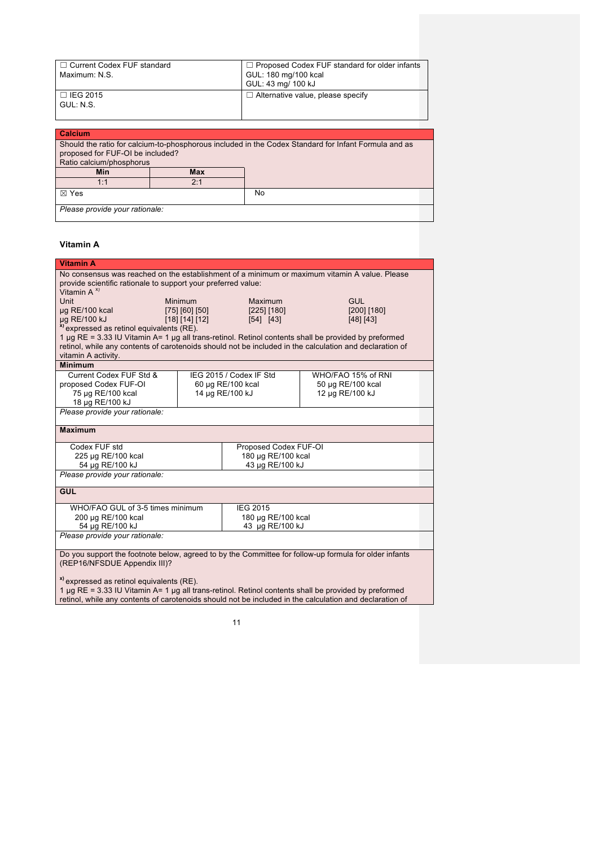| □ Current Codex FUF standard | $\Box$ Proposed Codex FUF standard for older infants |
|------------------------------|------------------------------------------------------|
| Maximum: N.S.                | GUL: 180 mg/100 kcal                                 |
|                              | GUL: 43 mg/ 100 kJ                                   |
| $\Box$ IEG 2015              | $\Box$ Alternative value, please specify             |
| GUL: N.S.                    |                                                      |
|                              |                                                      |

| Calcium                          |            |                                                                                                      |
|----------------------------------|------------|------------------------------------------------------------------------------------------------------|
| proposed for FUF-OI be included? |            | Should the ratio for calcium-to-phosphorous included in the Codex Standard for Infant Formula and as |
| Ratio calcium/phosphorus         |            |                                                                                                      |
| <b>Min</b>                       | <b>Max</b> |                                                                                                      |
| 1:1                              | 2.1        |                                                                                                      |
| No<br>$\boxtimes$ Yes            |            |                                                                                                      |
| Please provide your rationale:   |            |                                                                                                      |

# **Vitamin A**

| <b>Vitamin A</b>                                                                                                                                                                  |                    |                         |                                                                                                         |
|-----------------------------------------------------------------------------------------------------------------------------------------------------------------------------------|--------------------|-------------------------|---------------------------------------------------------------------------------------------------------|
| No consensus was reached on the establishment of a minimum or maximum vitamin A value. Please<br>provide scientific rationale to support your preferred value:<br>Vitamin $A^{x}$ |                    |                         |                                                                                                         |
| Unit                                                                                                                                                                              | Minimum            | Maximum                 | <b>GUL</b>                                                                                              |
| $\mu$ q RE/100 kcal                                                                                                                                                               | [75] [60] [50]     | [225] [180]             | $[200]$ $[180]$                                                                                         |
| µg RE/100 kJ                                                                                                                                                                      | [18] [14] [12]     | [54] [43]               | [48] [43]                                                                                               |
| expressed as retinol equivalents (RE).                                                                                                                                            |                    |                         |                                                                                                         |
| 1 µg RE = 3.33 IU Vitamin A= 1 µg all trans-retinol. Retinol contents shall be provided by preformed                                                                              |                    |                         |                                                                                                         |
|                                                                                                                                                                                   |                    |                         | retinol, while any contents of carotenoids should not be included in the calculation and declaration of |
| vitamin A activity.                                                                                                                                                               |                    |                         |                                                                                                         |
| <b>Minimum</b>                                                                                                                                                                    |                    |                         |                                                                                                         |
| Current Codex FUF Std &                                                                                                                                                           |                    | IEG 2015 / Codex IF Std | WHO/FAO 15% of RNI                                                                                      |
| proposed Codex FUF-OI                                                                                                                                                             |                    | 60 µg RE/100 kcal       | 50 µg RE/100 kcal                                                                                       |
| 75 µg RE/100 kcal                                                                                                                                                                 |                    | 14 µg RE/100 kJ         | 12 µg RE/100 kJ                                                                                         |
| 18 µg RE/100 kJ                                                                                                                                                                   |                    |                         |                                                                                                         |
| Please provide your rationale:                                                                                                                                                    |                    |                         |                                                                                                         |
|                                                                                                                                                                                   |                    |                         |                                                                                                         |
| <b>Maximum</b>                                                                                                                                                                    |                    |                         |                                                                                                         |
| Codex FUF std                                                                                                                                                                     |                    | Proposed Codex FUF-OI   |                                                                                                         |
| 225 µg RE/100 kcal                                                                                                                                                                |                    | 180 µg RE/100 kcal      |                                                                                                         |
| 54 µg RE/100 kJ                                                                                                                                                                   |                    | 43 µg RE/100 kJ         |                                                                                                         |
| Please provide your rationale:                                                                                                                                                    |                    |                         |                                                                                                         |
| <b>GUL</b>                                                                                                                                                                        |                    |                         |                                                                                                         |
| <b>IEG 2015</b><br>WHO/FAO GUL of 3-5 times minimum                                                                                                                               |                    |                         |                                                                                                         |
| 200 µg RE/100 kcal                                                                                                                                                                | 180 µg RE/100 kcal |                         |                                                                                                         |
| 54 µg RE/100 kJ<br>43 µg RE/100 kJ                                                                                                                                                |                    |                         |                                                                                                         |
| Please provide your rationale:                                                                                                                                                    |                    |                         |                                                                                                         |
| Do you support the footnote below, agreed to by the Committee for follow-up formula for older infants                                                                             |                    |                         |                                                                                                         |
| (REP16/NFSDUE Appendix III)?                                                                                                                                                      |                    |                         |                                                                                                         |
|                                                                                                                                                                                   |                    |                         |                                                                                                         |
| <sup>x)</sup> expressed as retinol equivalents (RE).                                                                                                                              |                    |                         |                                                                                                         |

1 µg RE = 3.33 IU Vitamin A= 1 µg all trans-retinol. Retinol contents shall be provided by preformed retinol, while any contents of carotenoids should not be included in the calculation and declaration of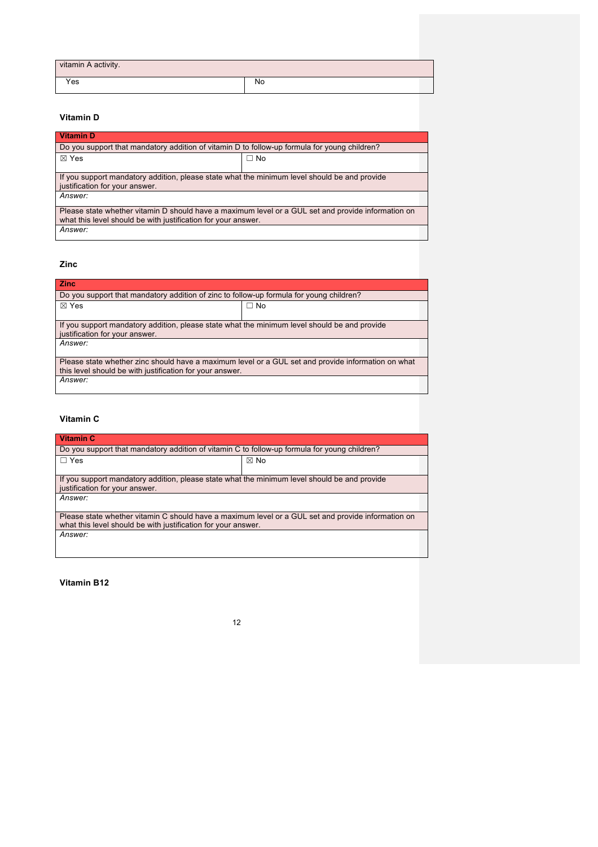| vitamin A activity. |    |
|---------------------|----|
| Yes                 | No |

# **Vitamin D**

| <b>Vitamin D</b>                                                                                   |           |  |
|----------------------------------------------------------------------------------------------------|-----------|--|
| Do you support that mandatory addition of vitamin D to follow-up formula for young children?       |           |  |
| $\boxtimes$ Yes                                                                                    | $\Box$ No |  |
|                                                                                                    |           |  |
| If you support mandatory addition, please state what the minimum level should be and provide       |           |  |
| justification for your answer.                                                                     |           |  |
| Answer:                                                                                            |           |  |
| Please state whether vitamin D should have a maximum level or a GUL set and provide information on |           |  |
| what this level should be with justification for your answer.                                      |           |  |
|                                                                                                    |           |  |
| Answer:                                                                                            |           |  |

# **Zinc**

 $\blacksquare$ 

| <b>Zinc</b>                                                                                        |           |  |
|----------------------------------------------------------------------------------------------------|-----------|--|
| Do you support that mandatory addition of zinc to follow-up formula for young children?            |           |  |
| $\boxtimes$ Yes                                                                                    | $\Box$ No |  |
|                                                                                                    |           |  |
| If you support mandatory addition, please state what the minimum level should be and provide       |           |  |
| justification for your answer.                                                                     |           |  |
| Answer:                                                                                            |           |  |
|                                                                                                    |           |  |
| Please state whether zinc should have a maximum level or a GUL set and provide information on what |           |  |
| this level should be with justification for your answer.                                           |           |  |
| Answer:                                                                                            |           |  |
|                                                                                                    |           |  |

### **Vitamin C**

| Vitamin C                                                                                                                                                           |                |  |
|---------------------------------------------------------------------------------------------------------------------------------------------------------------------|----------------|--|
| Do you support that mandatory addition of vitamin C to follow-up formula for young children?                                                                        |                |  |
| $\Box$ Yes                                                                                                                                                          | $\boxtimes$ No |  |
|                                                                                                                                                                     |                |  |
| If you support mandatory addition, please state what the minimum level should be and provide<br>justification for your answer.                                      |                |  |
| Answer:                                                                                                                                                             |                |  |
| Please state whether vitamin C should have a maximum level or a GUL set and provide information on<br>what this level should be with justification for your answer. |                |  |
| Answer:                                                                                                                                                             |                |  |

**Vitamin B12**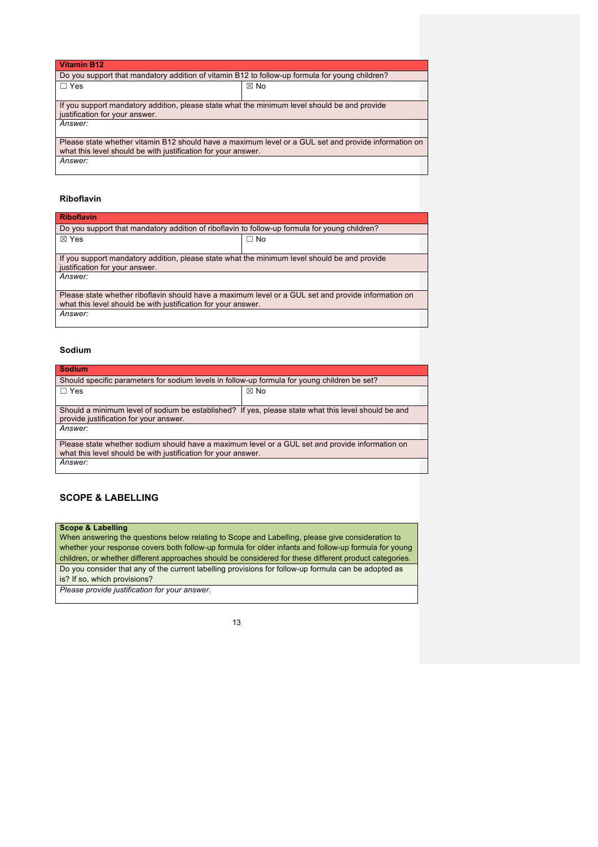| Do you support that mandatory addition of vitamin B12 to follow-up formula for young children?                                                                        |  |  |
|-----------------------------------------------------------------------------------------------------------------------------------------------------------------------|--|--|
| $\boxtimes$ No                                                                                                                                                        |  |  |
|                                                                                                                                                                       |  |  |
| If you support mandatory addition, please state what the minimum level should be and provide<br>justification for your answer.                                        |  |  |
|                                                                                                                                                                       |  |  |
| Please state whether vitamin B12 should have a maximum level or a GUL set and provide information on<br>what this level should be with justification for your answer. |  |  |
|                                                                                                                                                                       |  |  |
|                                                                                                                                                                       |  |  |

### **Riboflavin**

| <b>Riboflavin</b>                                                                                   |           |  |
|-----------------------------------------------------------------------------------------------------|-----------|--|
| Do you support that mandatory addition of riboflavin to follow-up formula for young children?       |           |  |
| $\boxtimes$ Yes                                                                                     | $\Box$ No |  |
|                                                                                                     |           |  |
| If you support mandatory addition, please state what the minimum level should be and provide        |           |  |
| justification for your answer.                                                                      |           |  |
| Answer:                                                                                             |           |  |
|                                                                                                     |           |  |
| Please state whether riboflavin should have a maximum level or a GUL set and provide information on |           |  |
| what this level should be with justification for your answer.                                       |           |  |
| Answer:                                                                                             |           |  |
|                                                                                                     |           |  |

### **Sodium**

| <b>Sodium</b>                                                                                                                                 |                |  |
|-----------------------------------------------------------------------------------------------------------------------------------------------|----------------|--|
| Should specific parameters for sodium levels in follow-up formula for young children be set?                                                  |                |  |
| $\Box$ Yes                                                                                                                                    | $\boxtimes$ No |  |
|                                                                                                                                               |                |  |
| Should a minimum level of sodium be established? If yes, please state what this level should be and<br>provide justification for your answer. |                |  |
| Answer:                                                                                                                                       |                |  |
| Please state whether sodium should have a maximum level or a GUL set and provide information on                                               |                |  |
| what this level should be with justification for your answer.                                                                                 |                |  |
| Answer:                                                                                                                                       |                |  |

### **SCOPE & LABELLING**

**Scope & Labelling**

When answering the questions below relating to Scope and Labelling, please give consideration to whether your response covers both follow-up formula for older infants and follow-up formula for young children, or whether different approaches should be considered for these different product categories. Do you consider that any of the current labelling provisions for follow-up formula can be adopted as is? If so, which provisions?

*Please provide justification for your answer.*